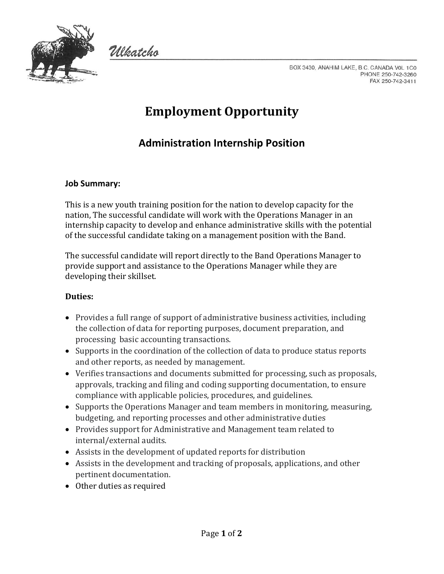

Włkatcho

BOX 3430, ANAHIM LAKE, B.C. CANADA VOL 1C0 PHONE 250-742-3260 FAX 250-742-3411

# **Employment Opportunity**

# **Administration Internship Position**

## **Job Summary:**

This is a new youth training position for the nation to develop capacity for the nation, The successful candidate will work with the Operations Manager in an internship capacity to develop and enhance administrative skills with the potential of the successful candidate taking on a management position with the Band.

The successful candidate will report directly to the Band Operations Manager to provide support and assistance to the Operations Manager while they are developing their skillset.

#### **Duties:**

- Provides a full range of support of administrative business activities, including the collection of data for reporting purposes, document preparation, and processing basic accounting transactions.
- Supports in the coordination of the collection of data to produce status reports and other reports, as needed by management.
- Verifies transactions and documents submitted for processing, such as proposals, approvals, tracking and filing and coding supporting documentation, to ensure compliance with applicable policies, procedures, and guidelines.
- Supports the Operations Manager and team members in monitoring, measuring, budgeting, and reporting processes and other administrative duties
- Provides support for Administrative and Management team related to internal/external audits.
- Assists in the development of updated reports for distribution
- Assists in the development and tracking of proposals, applications, and other pertinent documentation.
- Other duties as required